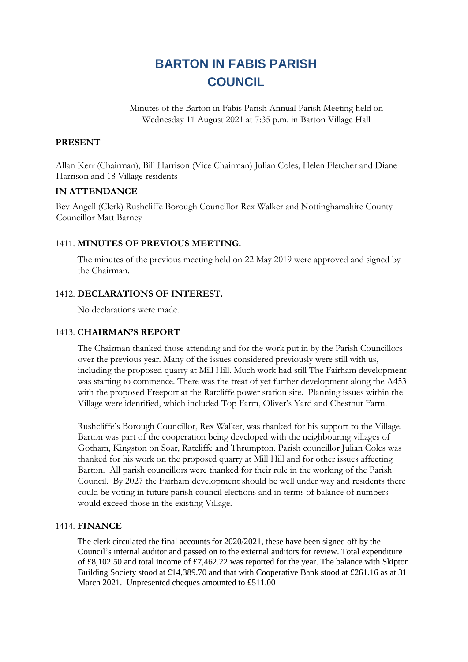# **BARTON IN FABIS PARISH COUNCIL**

Minutes of the Barton in Fabis Parish Annual Parish Meeting held on Wednesday 11 August 2021 at 7:35 p.m. in Barton Village Hall

# **PRESENT**

Allan Kerr (Chairman), Bill Harrison (Vice Chairman) Julian Coles, Helen Fletcher and Diane Harrison and 18 Village residents

# **IN ATTENDANCE**

Bev Angell (Clerk) Rushcliffe Borough Councillor Rex Walker and Nottinghamshire County Councillor Matt Barney

# 1411. **MINUTES OF PREVIOUS MEETING.**

The minutes of the previous meeting held on 22 May 2019 were approved and signed by the Chairman.

## 1412. **DECLARATIONS OF INTEREST.**

No declarations were made.

## 1413. **CHAIRMAN'S REPORT**

The Chairman thanked those attending and for the work put in by the Parish Councillors over the previous year. Many of the issues considered previously were still with us, including the proposed quarry at Mill Hill. Much work had still The Fairham development was starting to commence. There was the treat of yet further development along the A453 with the proposed Freeport at the Ratcliffe power station site. Planning issues within the Village were identified, which included Top Farm, Oliver's Yard and Chestnut Farm.

Rushcliffe's Borough Councillor, Rex Walker, was thanked for his support to the Village. Barton was part of the cooperation being developed with the neighbouring villages of Gotham, Kingston on Soar, Ratcliffe and Thrumpton. Parish councillor Julian Coles was thanked for his work on the proposed quarry at Mill Hill and for other issues affecting Barton. All parish councillors were thanked for their role in the working of the Parish Council. By 2027 the Fairham development should be well under way and residents there could be voting in future parish council elections and in terms of balance of numbers would exceed those in the existing Village.

## 1414. **FINANCE**

The clerk circulated the final accounts for 2020/2021, these have been signed off by the Council's internal auditor and passed on to the external auditors for review. Total expenditure of £8,102.50 and total income of £7,462.22 was reported for the year. The balance with Skipton Building Society stood at £14,389.70 and that with Cooperative Bank stood at £261.16 as at 31 March 2021. Unpresented cheques amounted to £511.00